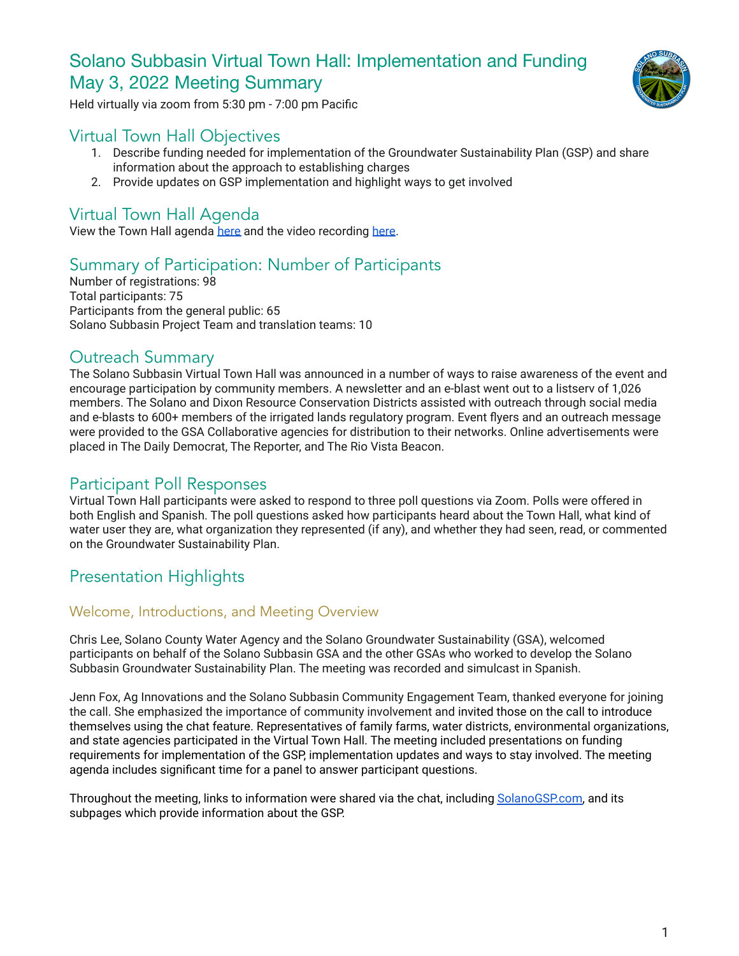# Solano Subbasin Virtual Town Hall: Implementation and Funding May 3, 2022 Meeting Summary



Held virtually via zoom from 5:30 pm - 7:00 pm Pacific

# Virtual Town Hall Objectives

- 1. Describe funding needed for implementation of the Groundwater Sustainability Plan (GSP) and share information about the approach to establishing charges
- 2. Provide updates on GSP implementation and highlight ways to get involved

# Virtual Town Hall Agenda

View the Town Hall agenda [here](https://www.solanogsp.com/wp-content/uploads/2022/04/May-2022-VTH-Participant-Agenda-Solano-Subbasin-1.pdf) and the video recording [here.](https://www.youtube.com/watch?v=j_veBrn_Gvg)

# Summary of Participation: Number of Participants

Number of registrations: 98 Total participants: 75 Participants from the general public: 65 Solano Subbasin Project Team and translation teams: 10

# Outreach Summary

The Solano Subbasin Virtual Town Hall was announced in a number of ways to raise awareness of the event and encourage participation by community members. A newsletter and an e-blast went out to a listserv of 1,026 members. The Solano and Dixon Resource Conservation Districts assisted with outreach through social media and e-blasts to 600+ members of the irrigated lands regulatory program. Event flyers and an outreach message were provided to the GSA Collaborative agencies for distribution to their networks. Online advertisements were placed in The Daily Democrat, The Reporter, and The Rio Vista Beacon.

# Participant Poll Responses

Virtual Town Hall participants were asked to respond to three poll questions via Zoom. Polls were offered in both English and Spanish. The poll questions asked how participants heard about the Town Hall, what kind of water user they are, what organization they represented (if any), and whether they had seen, read, or commented on the Groundwater Sustainability Plan.

# Presentation Highlights

# Welcome, Introductions, and Meeting Overview

Chris Lee, Solano County Water Agency and the Solano Groundwater Sustainability (GSA), welcomed participants on behalf of the Solano Subbasin GSA and the other GSAs who worked to develop the Solano Subbasin Groundwater Sustainability Plan. The meeting was recorded and simulcast in Spanish.

Jenn Fox, Ag Innovations and the Solano Subbasin Community Engagement Team, thanked everyone for joining the call. She emphasized the importance of community involvement and invited those on the call to introduce themselves using the chat feature. Representatives of family farms, water districts, environmental organizations, and state agencies participated in the Virtual Town Hall. The meeting included presentations on funding requirements for implementation of the GSP, implementation updates and ways to stay involved. The meeting agenda includes significant time for a panel to answer participant questions.

Throughout the meeting, links to information were shared via the chat, including [SolanoGSP.com,](http://www.solanogsp.com) and its subpages which provide information about the GSP.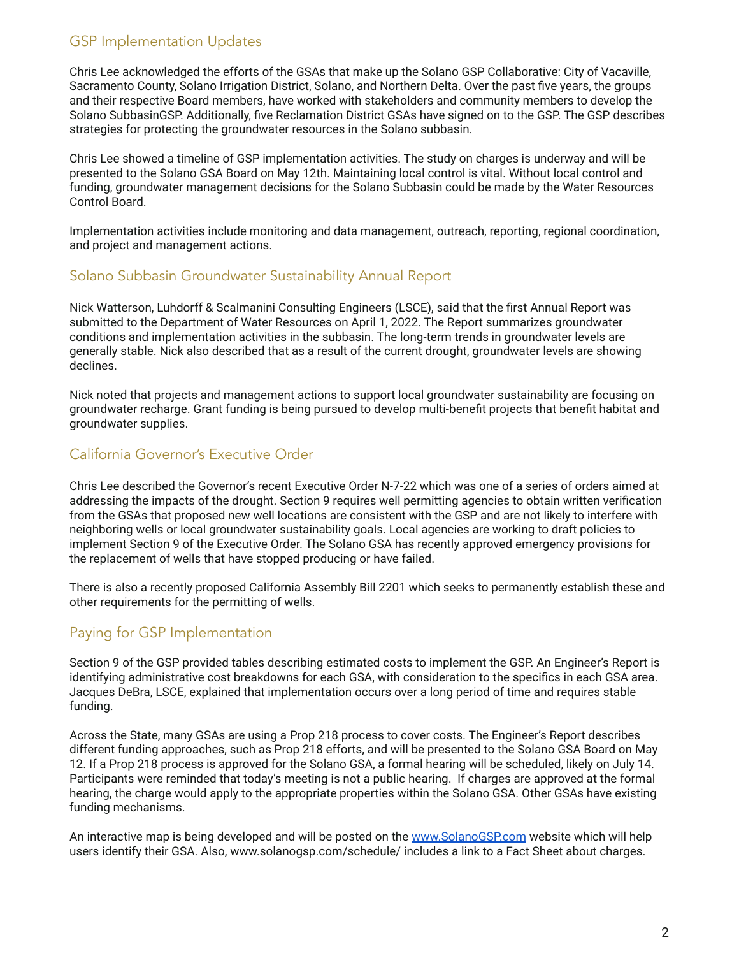# GSP Implementation Updates

Chris Lee acknowledged the efforts of the GSAs that make up the Solano GSP Collaborative: City of Vacaville, Sacramento County, Solano Irrigation District, Solano, and Northern Delta. Over the past five years, the groups and their respective Board members, have worked with stakeholders and community members to develop the Solano SubbasinGSP. Additionally, five Reclamation District GSAs have signed on to the GSP. The GSP describes strategies for protecting the groundwater resources in the Solano subbasin.

Chris Lee showed a timeline of GSP implementation activities. The study on charges is underway and will be presented to the Solano GSA Board on May 12th. Maintaining local control is vital. Without local control and funding, groundwater management decisions for the Solano Subbasin could be made by the Water Resources Control Board.

Implementation activities include monitoring and data management, outreach, reporting, regional coordination, and project and management actions.

# Solano Subbasin Groundwater Sustainability Annual Report

Nick Watterson, Luhdorff & Scalmanini Consulting Engineers (LSCE), said that the first Annual Report was submitted to the Department of Water Resources on April 1, 2022. The Report summarizes groundwater conditions and implementation activities in the subbasin. The long-term trends in groundwater levels are generally stable. Nick also described that as a result of the current drought, groundwater levels are showing declines.

Nick noted that projects and management actions to support local groundwater sustainability are focusing on groundwater recharge. Grant funding is being pursued to develop multi-benefit projects that benefit habitat and groundwater supplies.

# California Governor's Executive Order

Chris Lee described the Governor's recent Executive Order N-7-22 which was one of a series of orders aimed at addressing the impacts of the drought. Section 9 requires well permitting agencies to obtain written verification from the GSAs that proposed new well locations are consistent with the GSP and are not likely to interfere with neighboring wells or local groundwater sustainability goals. Local agencies are working to draft policies to implement Section 9 of the Executive Order. The Solano GSA has recently approved emergency provisions for the replacement of wells that have stopped producing or have failed.

There is also a recently proposed California Assembly Bill 2201 which seeks to permanently establish these and other requirements for the permitting of wells.

# Paying for GSP Implementation

Section 9 of the GSP provided tables describing estimated costs to implement the GSP. An Engineer's Report is identifying administrative cost breakdowns for each GSA, with consideration to the specifics in each GSA area. Jacques DeBra, LSCE, explained that implementation occurs over a long period of time and requires stable funding.

Across the State, many GSAs are using a Prop 218 process to cover costs. The Engineer's Report describes different funding approaches, such as Prop 218 efforts, and will be presented to the Solano GSA Board on May 12. If a Prop 218 process is approved for the Solano GSA, a formal hearing will be scheduled, likely on July 14. Participants were reminded that today's meeting is not a public hearing. If charges are approved at the formal hearing, the charge would apply to the appropriate properties within the Solano GSA. Other GSAs have existing funding mechanisms.

An interactive map is being developed and will be posted on the [www.SolanoGSP.com](http://www.solanogsp.com) website which will help users identify their GSA. Also, www.solanogsp.com/schedule/ includes a link to a Fact Sheet about charges.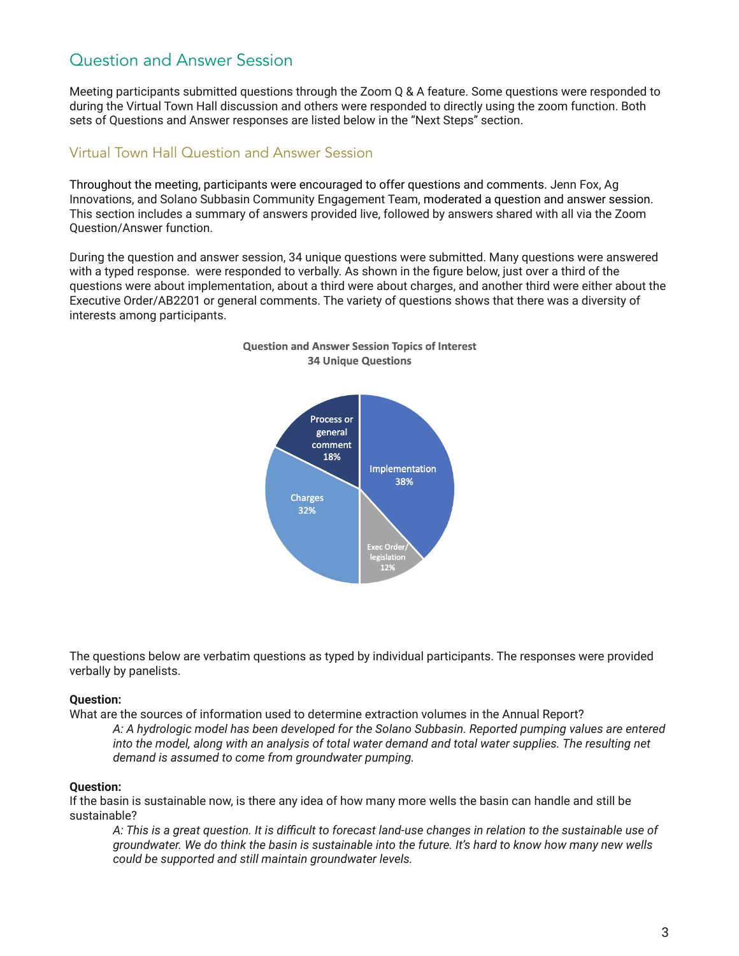# Question and Answer Session

Meeting participants submitted questions through the Zoom Q & A feature. Some questions were responded to during the Virtual Town Hall discussion and others were responded to directly using the zoom function. Both sets of Questions and Answer responses are listed below in the "Next Steps" section.

# Virtual Town Hall Question and Answer Session

Throughout the meeting, participants were encouraged to offer questions and comments. Jenn Fox, Ag Innovations, and Solano Subbasin Community Engagement Team, moderated a question and answer session. This section includes a summary of answers provided live, followed by answers shared with all via the Zoom Question/Answer function.

During the question and answer session, 34 unique questions were submitted. Many questions were answered with a typed response. were responded to verbally. As shown in the figure below, just over a third of the questions were about implementation, about a third were about charges, and another third were either about the Executive Order/AB2201 or general comments. The variety of questions shows that there was a diversity of interests among participants.



### **Question and Answer Session Topics of Interest 34 Unique Questions**

The questions below are verbatim questions as typed by individual participants. The responses were provided verbally by panelists.

# **Question:**

What are the sources of information used to determine extraction volumes in the Annual Report?

*A: A hydrologic model has been developed for the Solano Subbasin. Reported pumping values are entered* into the model, along with an analysis of total water demand and total water supplies. The resulting net *demand is assumed to come from groundwater pumping.*

# **Question:**

If the basin is sustainable now, is there any idea of how many more wells the basin can handle and still be sustainable?

A: This is a great question. It is difficult to forecast land-use changes in relation to the sustainable use of groundwater. We do think the basin is sustainable into the future. It's hard to know how many new wells *could be supported and still maintain groundwater levels.*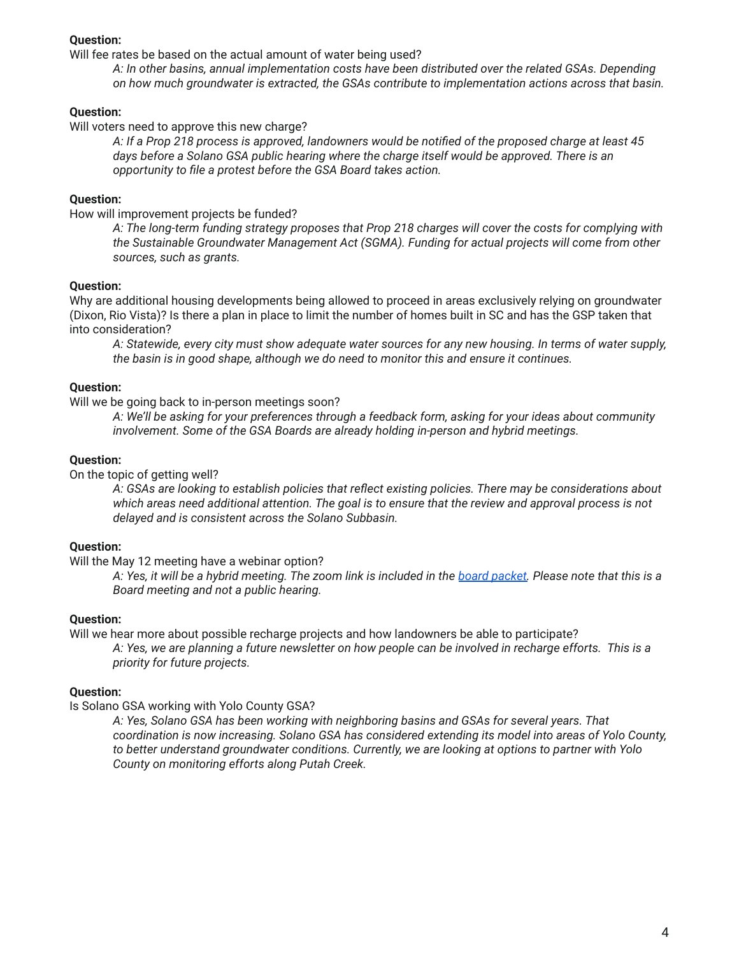## **Question:**

Will fee rates be based on the actual amount of water being used?

*A: In other basins, annual implementation costs have been distributed over the related GSAs. Depending on how much groundwater is extracted, the GSAs contribute to implementation actions across that basin.*

### **Question:**

Will voters need to approve this new charge?

A: If a Prop 218 process is approved, landowners would be notified of the proposed charge at least 45 *days before a Solano GSA public hearing where the charge itself would be approved. There is an opportunity to file a protest before the GSA Board takes action.*

# **Question:**

How will improvement projects be funded?

*A: The long-term funding strategy proposes that Prop 218 charges will cover the costs for complying with the Sustainable Groundwater Management Act (SGMA). Funding for actual projects will come from other sources, such as grants.*

### **Question:**

Why are additional housing developments being allowed to proceed in areas exclusively relying on groundwater (Dixon, Rio Vista)? Is there a plan in place to limit the number of homes built in SC and has the GSP taken that into consideration?

A: Statewide, every city must show adequate water sources for any new housing. In terms of water supply, *the basin is in good shape, although we do need to monitor this and ensure it continues.*

### **Question:**

Will we be going back to in-person meetings soon?

*A: We'll be asking for your preferences through a feedback form, asking for your ideas about community involvement. Some of the GSA Boards are already holding in-person and hybrid meetings.*

#### **Question:**

On the topic of getting well?

*A: GSAs are looking to establish policies that reflect existing policies. There may be considerations about* which areas need additional attention. The goal is to ensure that the review and approval process is not *delayed and is consistent across the Solano Subbasin.*

#### **Question:**

Will the May 12 meeting have a webinar option?

A: Yes, it will be a hybrid meeting. The zoom link is included in the board [packet.](https://www.scwa2.com/wp-content/uploads/2022/05/MAY.2022.BOD_.FULL-PACKET-ID-305882.pdf) Please note that this is a *Board meeting and not a public hearing.*

#### **Question:**

Will we hear more about possible recharge projects and how landowners be able to participate? A: Yes, we are planning a future newsletter on how people can be involved in recharge efforts. This is a *priority for future projects.*

#### **Question:**

Is Solano GSA working with Yolo County GSA?

*A: Yes, Solano GSA has been working with neighboring basins and GSAs for several years. That coordination is now increasing. Solano GSA has considered extending its model into areas of Yolo County, to better understand groundwater conditions. Currently, we are looking at options to partner with Yolo County on monitoring efforts along Putah Creek.*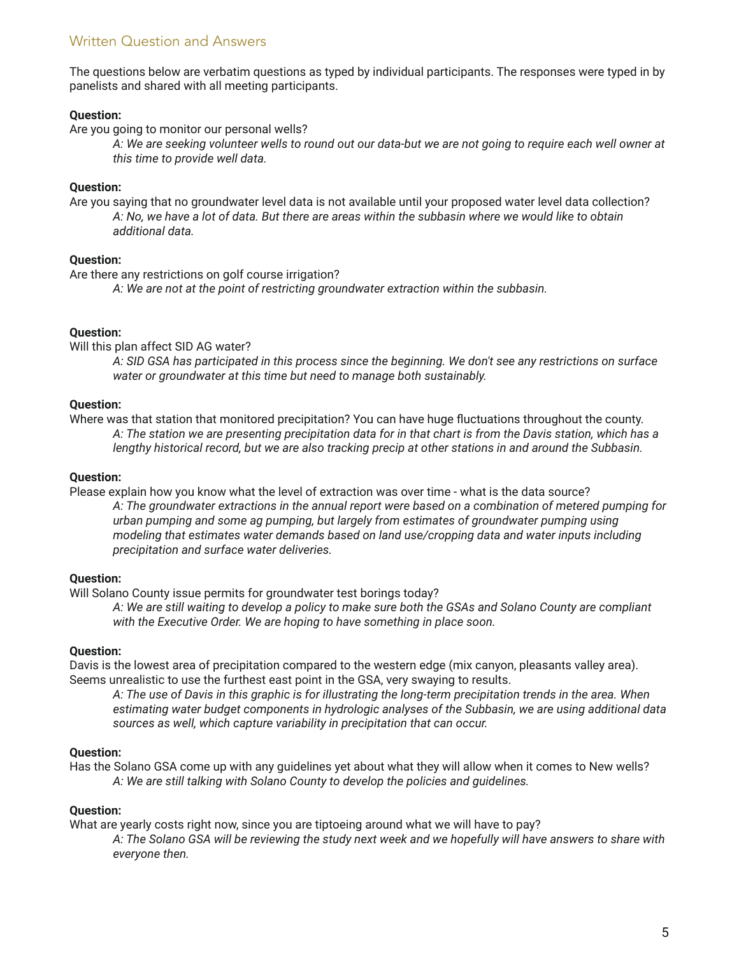# Written Question and Answers

The questions below are verbatim questions as typed by individual participants. The responses were typed in by panelists and shared with all meeting participants.

### **Question:**

Are you going to monitor our personal wells?

A: We are seeking volunteer wells to round out our data-but we are not going to require each well owner at *this time to provide well data.*

### **Question:**

Are you saying that no groundwater level data is not available until your proposed water level data collection? A: No, we have a lot of data. But there are areas within the subbasin where we would like to obtain *additional data.*

### **Question:**

Are there any restrictions on golf course irrigation?

*A: We are not at the point of restricting groundwater extraction within the subbasin.*

### **Question:**

Will this plan affect SID AG water?

A: SID GSA has participated in this process since the beginning. We don't see any restrictions on surface *water or groundwater at this time but need to manage both sustainably.*

## **Question:**

Where was that station that monitored precipitation? You can have huge fluctuations throughout the county. A: The station we are presenting precipitation data for in that chart is from the Davis station, which has a *lengthy historical record, but we are also tracking precip at other stations in and around the Subbasin.*

### **Question:**

Please explain how you know what the level of extraction was over time - what is the data source?

*A: The groundwater extractions in the annual report were based on a combination of metered pumping for urban pumping and some ag pumping, but largely from estimates of groundwater pumping using modeling that estimates water demands based on land use/cropping data and water inputs including precipitation and surface water deliveries.*

# **Question:**

Will Solano County issue permits for groundwater test borings today?

A: We are still waiting to develop a policy to make sure both the GSAs and Solano County are compliant *with the Executive Order. We are hoping to have something in place soon.*

#### **Question:**

Davis is the lowest area of precipitation compared to the western edge (mix canyon, pleasants valley area). Seems unrealistic to use the furthest east point in the GSA, very swaying to results.

A: The use of Davis in this graphic is for illustrating the long-term precipitation trends in the area. When *estimating water budget components in hydrologic analyses of the Subbasin, we are using additional data sources as well, which capture variability in precipitation that can occur.*

#### **Question:**

Has the Solano GSA come up with any guidelines yet about what they will allow when it comes to New wells? *A: We are still talking with Solano County to develop the policies and guidelines.*

#### **Question:**

What are yearly costs right now, since you are tiptoeing around what we will have to pay?

A: The Solano GSA will be reviewing the study next week and we hopefully will have answers to share with *everyone then.*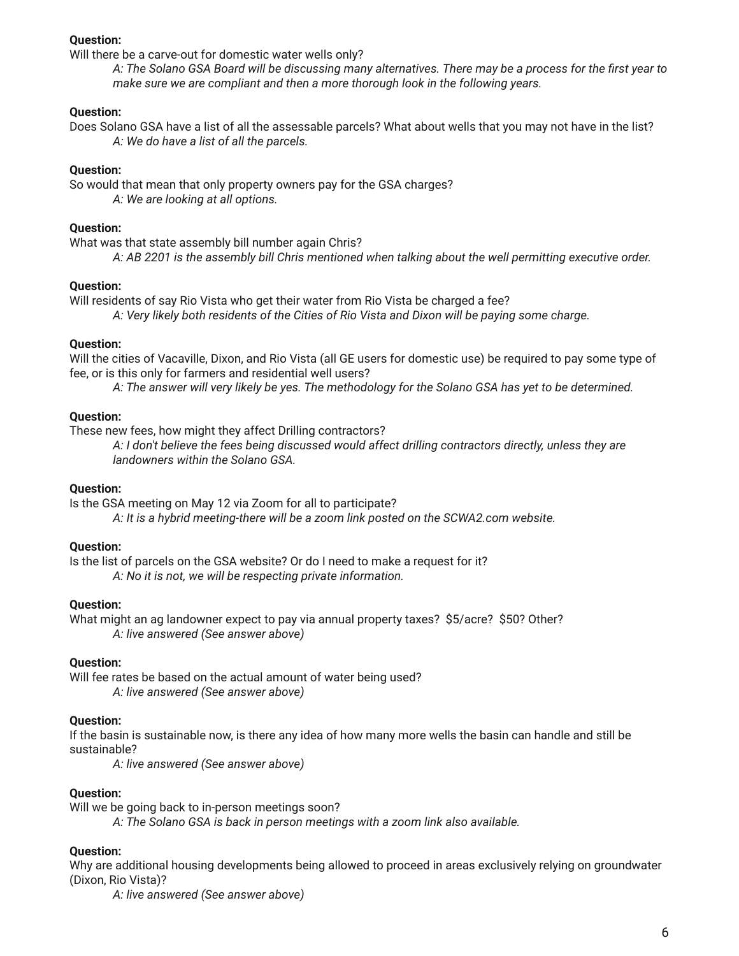## **Question:**

Will there be a carve-out for domestic water wells only?

A: The Solano GSA Board will be discussing many alternatives. There may be a process for the first year to *make sure we are compliant and then a more thorough look in the following years.*

# **Question:**

Does Solano GSA have a list of all the assessable parcels? What about wells that you may not have in the list? *A: We do have a list of all the parcels.*

#### **Question:**

So would that mean that only property owners pay for the GSA charges? *A: We are looking at all options.*

#### **Question:**

What was that state assembly bill number again Chris?

*A: AB 2201 is the assembly bill Chris mentioned when talking about the well permitting executive order.*

#### **Question:**

Will residents of say Rio Vista who get their water from Rio Vista be charged a fee? *A: Very likely both residents of the Cities of Rio Vista and Dixon will be paying some charge.*

#### **Question:**

Will the cities of Vacaville, Dixon, and Rio Vista (all GE users for domestic use) be required to pay some type of fee, or is this only for farmers and residential well users?

A: The answer will very likely be yes. The methodology for the Solano GSA has yet to be determined.

#### **Question:**

These new fees, how might they affect Drilling contractors?

*A: I don't believe the fees being discussed would affect drilling contractors directly, unless they are landowners within the Solano GSA.*

#### **Question:**

Is the GSA meeting on May 12 via Zoom for all to participate? *A: It is a hybrid meeting-there will be a zoom link posted on the SCWA2.com website.*

#### **Question:**

Is the list of parcels on the GSA website? Or do I need to make a request for it? *A: No it is not, we will be respecting private information.*

#### **Question:**

What might an ag landowner expect to pay via annual property taxes? \$5/acre? \$50? Other? *A: live answered (See answer above)*

#### **Question:**

Will fee rates be based on the actual amount of water being used? *A: live answered (See answer above)*

#### **Question:**

If the basin is sustainable now, is there any idea of how many more wells the basin can handle and still be sustainable?

*A: live answered (See answer above)*

#### **Question:**

Will we be going back to in-person meetings soon?

*A: The Solano GSA is back in person meetings with a zoom link also available.*

## **Question:**

Why are additional housing developments being allowed to proceed in areas exclusively relying on groundwater (Dixon, Rio Vista)?

*A: live answered (See answer above)*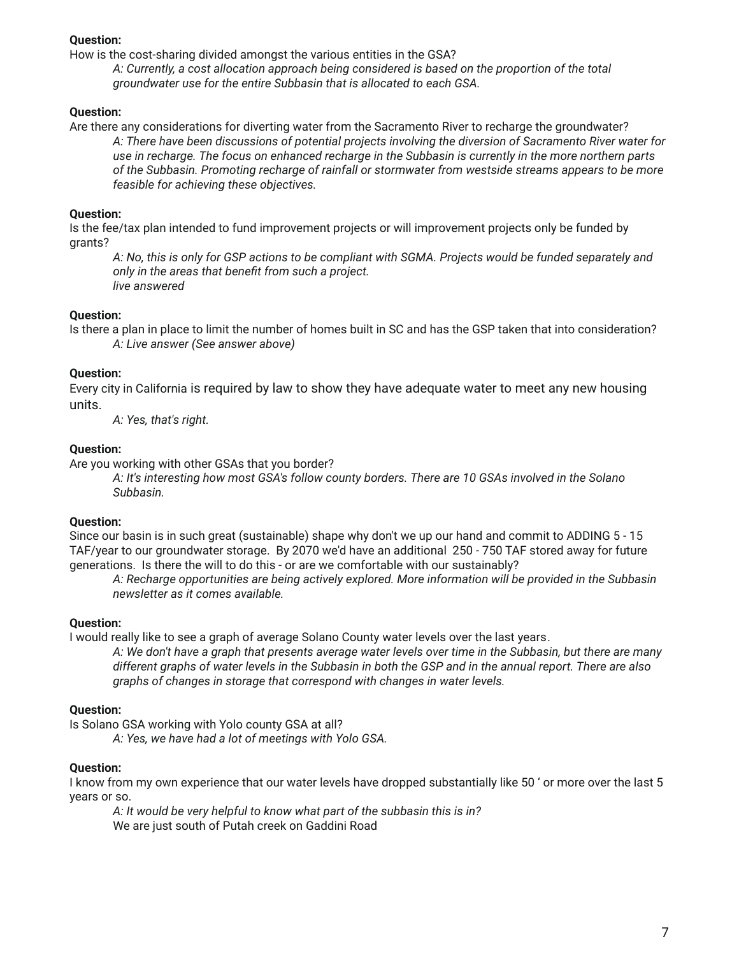## **Question:**

How is the cost-sharing divided amongst the various entities in the GSA?

*A: Currently, a cost allocation approach being considered is based on the proportion of the total groundwater use for the entire Subbasin that is allocated to each GSA.*

## **Question:**

Are there any considerations for diverting water from the Sacramento River to recharge the groundwater? *A: There have been discussions of potential projects involving the diversion of Sacramento River water for* use in recharge. The focus on enhanced recharge in the Subbasin is currently in the more northern parts *of the Subbasin. Promoting recharge of rainfall or stormwater from westside streams appears to be more feasible for achieving these objectives.*

## **Question:**

Is the fee/tax plan intended to fund improvement projects or will improvement projects only be funded by grants?

A: No, this is only for GSP actions to be compliant with SGMA. Projects would be funded separately and *only in the areas that benefit from such a project. live answered*

### **Question:**

Is there a plan in place to limit the number of homes built in SC and has the GSP taken that into consideration? *A: Live answer (See answer above)*

### **Question:**

Every city in California is required by law to show they have adequate water to meet any new housing units.

*A: Yes, that's right.*

# **Question:**

Are you working with other GSAs that you border?

*A: It's interesting how most GSA's follow county borders. There are 10 GSAs involved in the Solano Subbasin.*

# **Question:**

Since our basin is in such great (sustainable) shape why don't we up our hand and commit to ADDING 5 - 15 TAF/year to our groundwater storage. By 2070 we'd have an additional 250 - 750 TAF stored away for future generations. Is there the will to do this - or are we comfortable with our sustainably?

*A: Recharge opportunities are being actively explored. More information will be provided in the Subbasin newsletter as it comes available.*

# **Question:**

I would really like to see a graph of average Solano County water levels over the last years.

A: We don't have a graph that presents average water levels over time in the Subbasin, but there are many different graphs of water levels in the Subbasin in both the GSP and in the annual report. There are also *graphs of changes in storage that correspond with changes in water levels.*

# **Question:**

Is Solano GSA working with Yolo county GSA at all?

*A: Yes, we have had a lot of meetings with Yolo GSA.*

# **Question:**

I know from my own experience that our water levels have dropped substantially like 50 ' or more over the last 5 years or so.

*A: It would be very helpful to know what part of the subbasin this is in?* We are just south of Putah creek on Gaddini Road